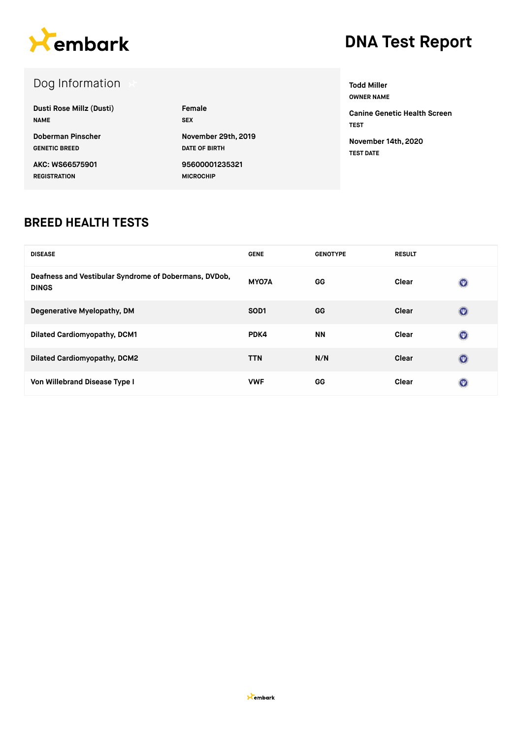

### Dog Information

| Dusti Rose Millz (Dusti) | Female               |
|--------------------------|----------------------|
| <b>NAME</b>              | <b>SEX</b>           |
| Doberman Pinscher        | November 29th, 2019  |
| <b>GENETIC BREED</b>     | <b>DATE OF BIRTH</b> |
| AKC: WS66575901          | 95600001235321       |
| <b>REGISTRATION</b>      | <b>MICROCHIP</b>     |

**Todd Miller OWNER NAME Canine Genetic Health Screen TEST**

**November 14th, 2020 TEST DATE**

#### **BREED HEALTH TESTS**

| <b>DISEASE</b>                                                        | <b>GENE</b>       | <b>GENOTYPE</b> | <b>RESULT</b> |                           |
|-----------------------------------------------------------------------|-------------------|-----------------|---------------|---------------------------|
| Deafness and Vestibular Syndrome of Dobermans, DVDob,<br><b>DINGS</b> | MY07A             | GG              | Clear         | $\circledcirc$            |
| Degenerative Myelopathy, DM                                           | SO <sub>D</sub> 1 | GG              | Clear         | $(\nabla)$                |
| <b>Dilated Cardiomyopathy, DCM1</b>                                   | PDK4              | <b>NN</b>       | Clear         | $\circledcirc$            |
| <b>Dilated Cardiomyopathy, DCM2</b>                                   | <b>TTN</b>        | N/N             | Clear         | $(\nabla)$                |
| Von Willebrand Disease Type I                                         | <b>VWF</b>        | GG              | Clear         | $(\overline{\mathbf{w}})$ |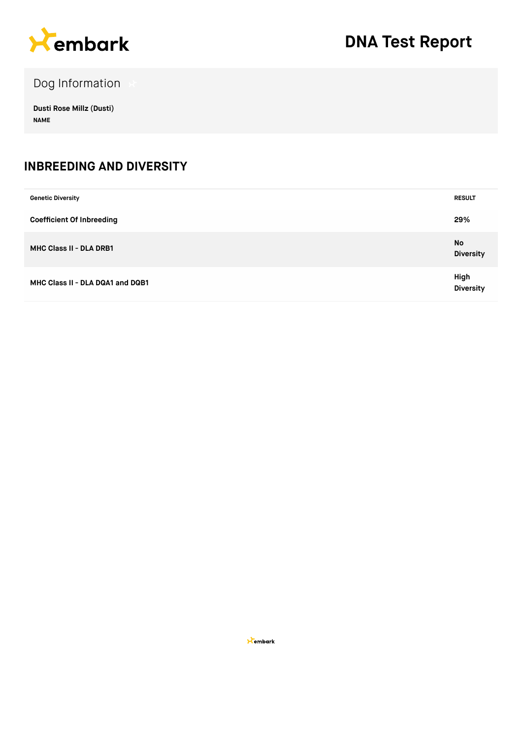

Dog Information

**Dusti Rose Millz (Dusti) NAME**

#### **INBREEDING AND DIVERSITY**

| <b>Genetic Diversity</b>         | <b>RESULT</b>                 |
|----------------------------------|-------------------------------|
| <b>Coefficient Of Inbreeding</b> | 29%                           |
| MHC Class II - DLA DRB1          | <b>No</b><br><b>Diversity</b> |
| MHC Class II - DLA DQA1 and DQB1 | High<br><b>Diversity</b>      |

**X**embark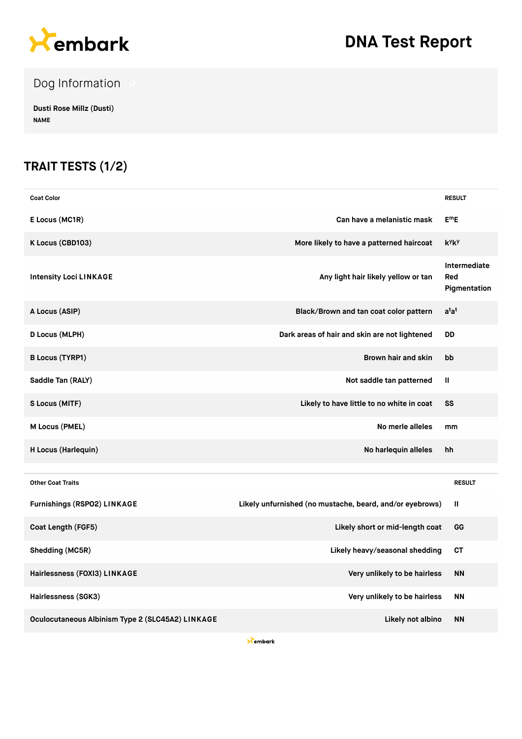

Dog Information

**Dusti Rose Millz (Dusti) NAME**

### **TRAIT TESTS (1/2)**

| <b>Coat Color</b>                                |                                                          | <b>RESULT</b>                       |
|--------------------------------------------------|----------------------------------------------------------|-------------------------------------|
| E Locus (MC1R)                                   | Can have a melanistic mask                               | $E^mE$                              |
| K Locus (CBD103)                                 | More likely to have a patterned haircoat                 | kyky                                |
| <b>Intensity Loci LINKAGE</b>                    | Any light hair likely yellow or tan                      | Intermediate<br>Red<br>Pigmentation |
| A Locus (ASIP)                                   | Black/Brown and tan coat color pattern                   | a <sup>t</sup> a <sup>t</sup>       |
| <b>D Locus (MLPH)</b>                            | Dark areas of hair and skin are not lightened            | DD                                  |
| <b>B Locus (TYRP1)</b>                           | Brown hair and skin                                      | bb                                  |
| Saddle Tan (RALY)                                | Not saddle tan patterned                                 | Ш                                   |
| S Locus (MITF)                                   | Likely to have little to no white in coat                | SS                                  |
| M Locus (PMEL)                                   | No merle alleles                                         | mm                                  |
| H Locus (Harlequin)                              | No harlequin alleles                                     | hh                                  |
| <b>Other Coat Traits</b>                         |                                                          | <b>RESULT</b>                       |
| Furnishings (RSPO2) LINKAGE                      | Likely unfurnished (no mustache, beard, and/or eyebrows) | Ш                                   |
| Coat Length (FGF5)                               | Likely short or mid-length coat                          | GG                                  |
| Shedding (MC5R)                                  | Likely heavy/seasonal shedding                           | <b>CT</b>                           |
| Hairlessness (FOXI3) LINKAGE                     | Very unlikely to be hairless                             | <b>NN</b>                           |
| Hairlessness (SGK3)                              | Very unlikely to be hairless                             | <b>NN</b>                           |
| Oculocutaneous Albinism Type 2 (SLC45A2) LINKAGE | Likely not albino                                        | <b>NN</b>                           |

**X**embark